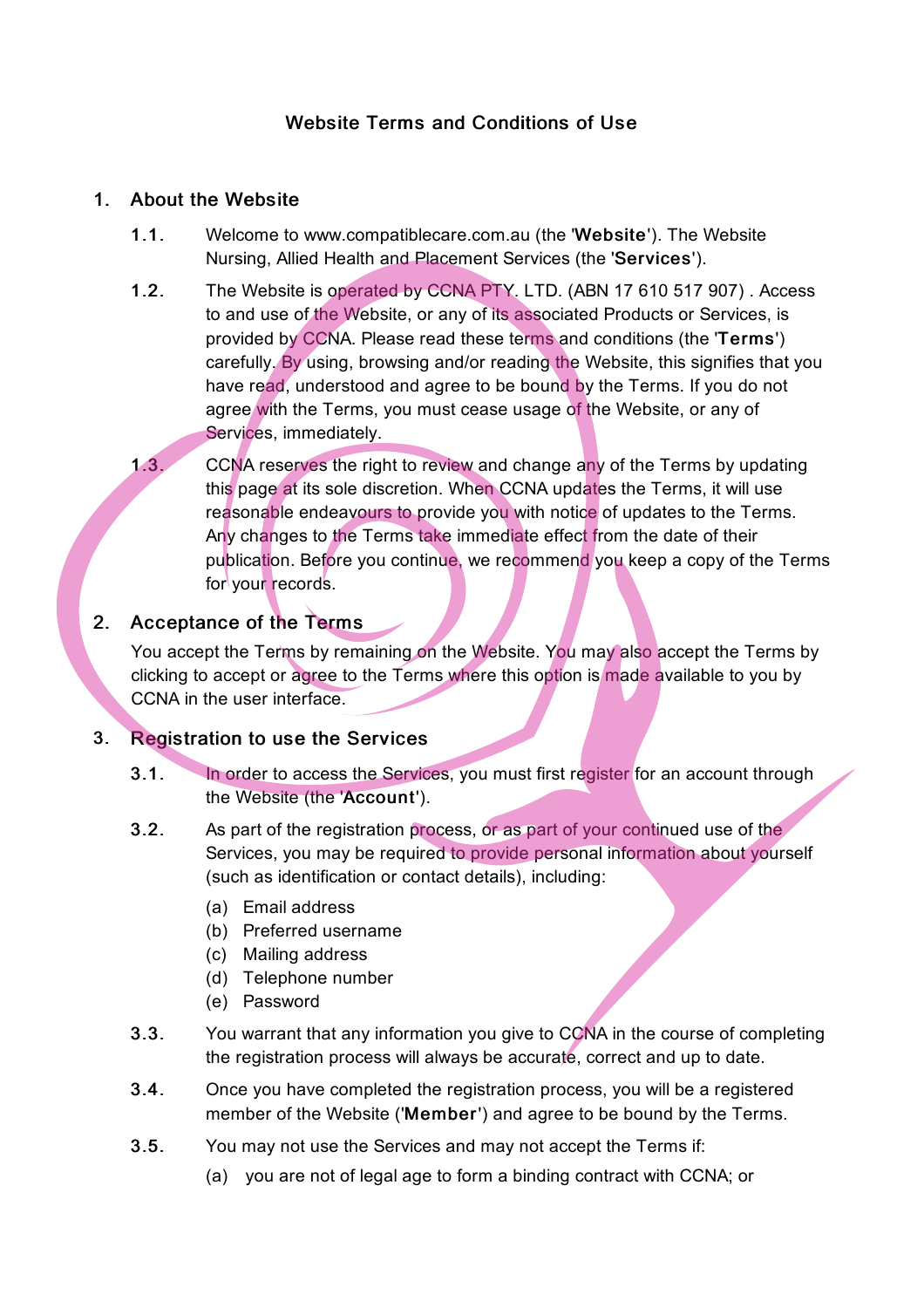# Website Terms and Conditions of Use

#### 1. About the Website

- 1.1. Welcome to www.compatiblecare.com.au (the 'Website'). The Website Nursing, Allied Health and Placement Services (the 'Services').
- 1.2. The Website is operated by CCNA PTY. LTD. (ABN 17 610 517 907). Access to and use of the Website, or any of its associated Products or Services, is provided by CCNA. Please read these terms and conditions (the 'Terms') carefully. By using, browsing and/or reading the Website, this signifies that you have read, understood and agree to be bound by the Terms. If you do not agree with the Terms, you must cease usage of the Website, or any of Services, immediately.
- 1.3. CCNA reserves the right to review and change any of the Terms by updating this page at its sole discretion. When CCNA updates the Terms, it will use reasonable endeavours to provide you with notice of updates to the Terms. Any changes to the Terms take immediate effect from the date of their publication. Before you continue, we recommend you keep a copy of the Terms for vour records.

## 2. Acceptance of the Terms

You accept the Terms by remaining on the Website. You may also accept the Terms by clicking to accept or agree to the Terms where this option is made available to you by CCNA in the user interface.

## 3. Registration to use the Services

- 3.1. In order to access the Services, you must first register for an account through the Website (the 'Account').
- 3.2. As part of the registration process, or as part of your continued use of the Services, you may be required to provide personal information about yourself (such as identification or contact details), including:
	- (a) Email address
	- (b) Preferred username
	- (c) Mailing address
	- (d) Telephone number
	- (e) Password
- 3.3. You warrant that any information you give to CCNA in the course of completing the registration process will always be accurate, correct and up to date.
- 3.4. Once you have completed the registration process, you will be a registered member of the Website ('Member') and agree to be bound by the Terms.
- 3.5. You may not use the Services and may not accept the Terms if:
	- (a) you are not of legal age to form a binding contract with CCNA; or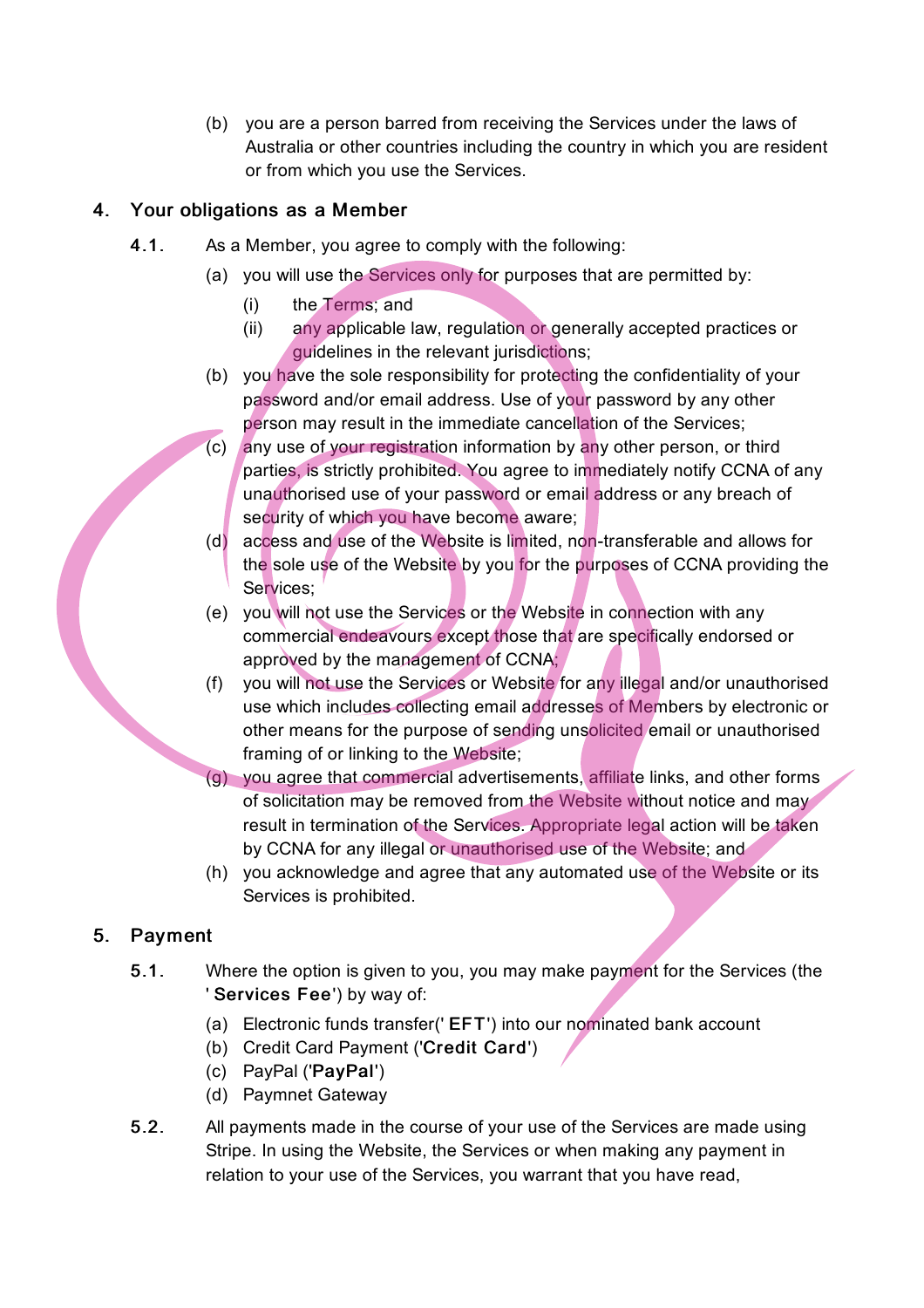(b) you are a person barred from receiving the Services under the laws of Australia or other countries including the country in which you are resident or from which you use the Services.

## 4. Your obligations as a Member

- 4.1. As a Member, you agree to comply with the following:
	- (a) you will use the Services only for purposes that are permitted by:
		- (i) the Terms; and
		- (ii) any applicable law, regulation or generally accepted practices or guidelines in the relevant jurisdictions;
	- (b) you have the sole responsibility for protecting the confidentiality of your password and/or email address. Use of your password by any other person may result in the immediate cancellation of the Services;
	- (c) any use of your registration information by any other person, or third parties, is strictly prohibited. You agree to immediately notify CCNA of any unauthorised use of your password or email address or any breach of security of which you have become aware;
	- (d) access and use of the Website is limited, non-transferable and allows for the sole use of the Website by you for the purposes of CCNA providing the Services:
	- (e) you will not use the Services or the Website in connection with any commercial endeavours except those that are specifically endorsed or approved by the management of CCNA;
	- (f) you will not use the Services or Website for any illegal and/or unauthorised use which includes collecting email addresses of Members by electronic or other means for the purpose of sending unsolicited email or unauthorised framing of or linking to the Website;
	- (g) you agree that commercial advertisements, affiliate links, and other forms of solicitation may be removed from the Website without notice and may result in termination of the Services. Appropriate legal action will be taken by CCNA for any illegal or unauthorised use of the Website; and
	- (h) you acknowledge and agree that any automated use of the Website or its Services is prohibited.

# 5. Payment

- 5.1. Where the option is given to you, you may make payment for the Services (the ' Services Fee') by way of:
	- (a) Electronic funds transfer(' EFT') into our nominated bank account
	- (b) Credit Card Payment ('Credit Card')
	- (c) PayPal ('PayPal')
	- (d) Paymnet Gateway
- 5.2. All payments made in the course of your use of the Services are made using Stripe. In using the Website, the Services or when making any payment in relation to your use of the Services, you warrant that you have read,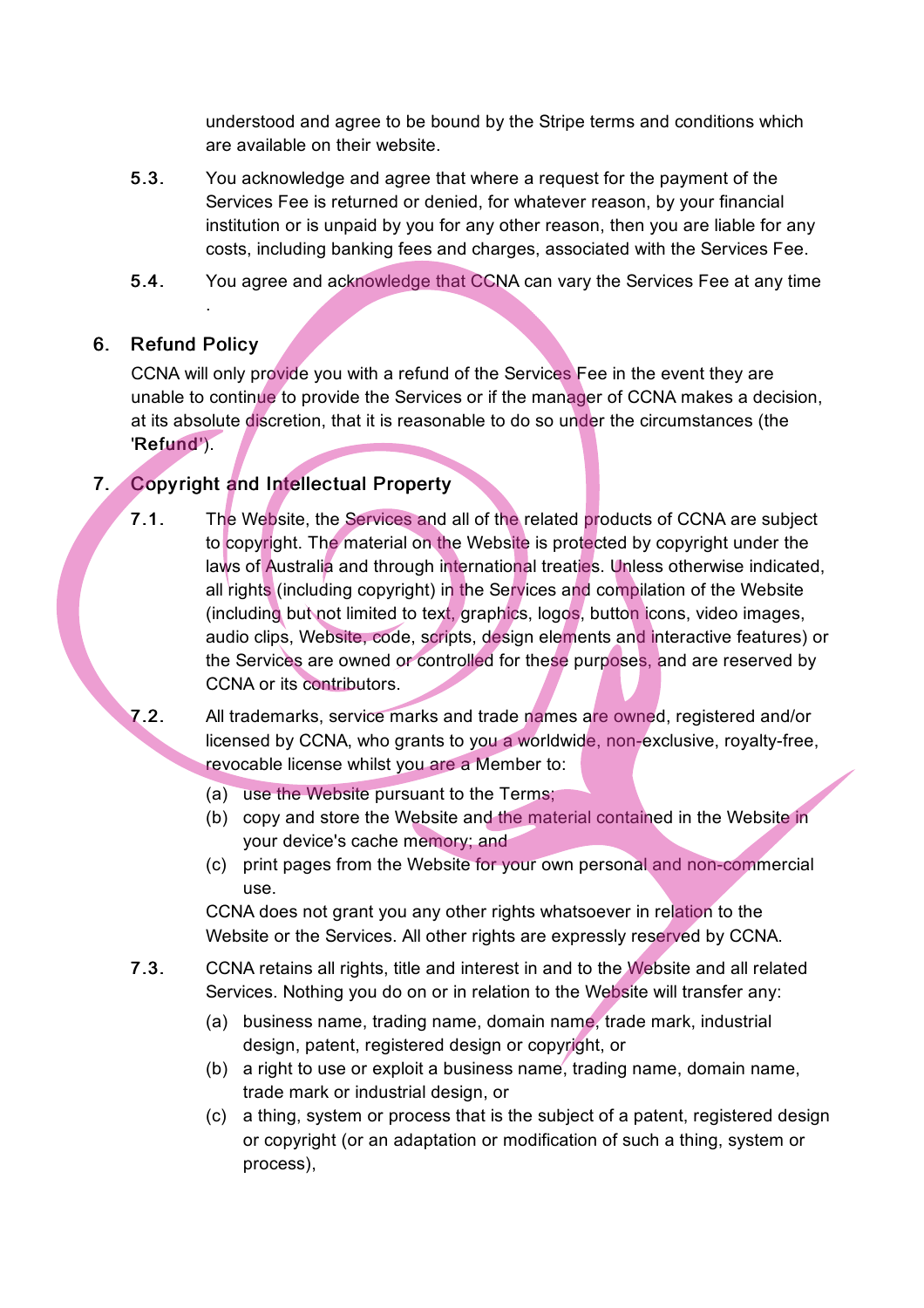understood and agree to be bound by the Stripe terms and conditions which are available on their website.

- 5.3. You acknowledge and agree that where a request for the payment of the Services Fee is returned or denied, for whatever reason, by your financial institution or is unpaid by you for any other reason, then you are liable for any costs, including banking fees and charges, associated with the Services Fee.
- 5.4. You agree and acknowledge that CCNA can vary the Services Fee at any time

# 6. Refund Policy

.

CCNA will only provide you with a refund of the Services Fee in the event they are unable to continue to provide the Services or if the manager of CCNA makes a decision, at its absolute discretion, that it is reasonable to do so under the circumstances (the 'Refund').

# 7. Copyright and Intellectual Property

7.1. The Website, the Services and all of the related products of CCNA are subject to copyright. The material on the Website is protected by copyright under the laws of Australia and through international treaties. Unless otherwise indicated, all rights (including copyright) in the Services and compilation of the Website (including but not limited to text, graphics, logos, button icons, video images, audio clips, Website, code, scripts, design elements and interactive features) or the Services are owned or controlled for these purposes, and are reserved by CCNA or its contributors.

7.2. All trademarks, service marks and trade names are owned, registered and/or licensed by CCNA, who grants to you a worldwide, non-exclusive, royalty-free, revocable license whilst you are a Member to:

- (a) use the Website pursuant to the Terms;
- (b) copy and store the Website and the material contained in the Website in your device's cache memory; and
- (c) print pages from the Website for your own personal and non-commercial use.

CCNA does not grant you any other rights whatsoever in relation to the Website or the Services. All other rights are expressly reserved by CCNA.

- 7.3. CCNA retains all rights, title and interest in and to the Website and all related Services. Nothing you do on or in relation to the Website will transfer any:
	- (a) business name, trading name, domain name, trade mark, industrial design, patent, registered design or copyright, or
	- (b) a right to use or exploit a business name, trading name, domain name, trade mark or industrial design, or
	- (c) a thing, system or process that is the subject of a patent, registered design or copyright (or an adaptation or modification of such a thing, system or process),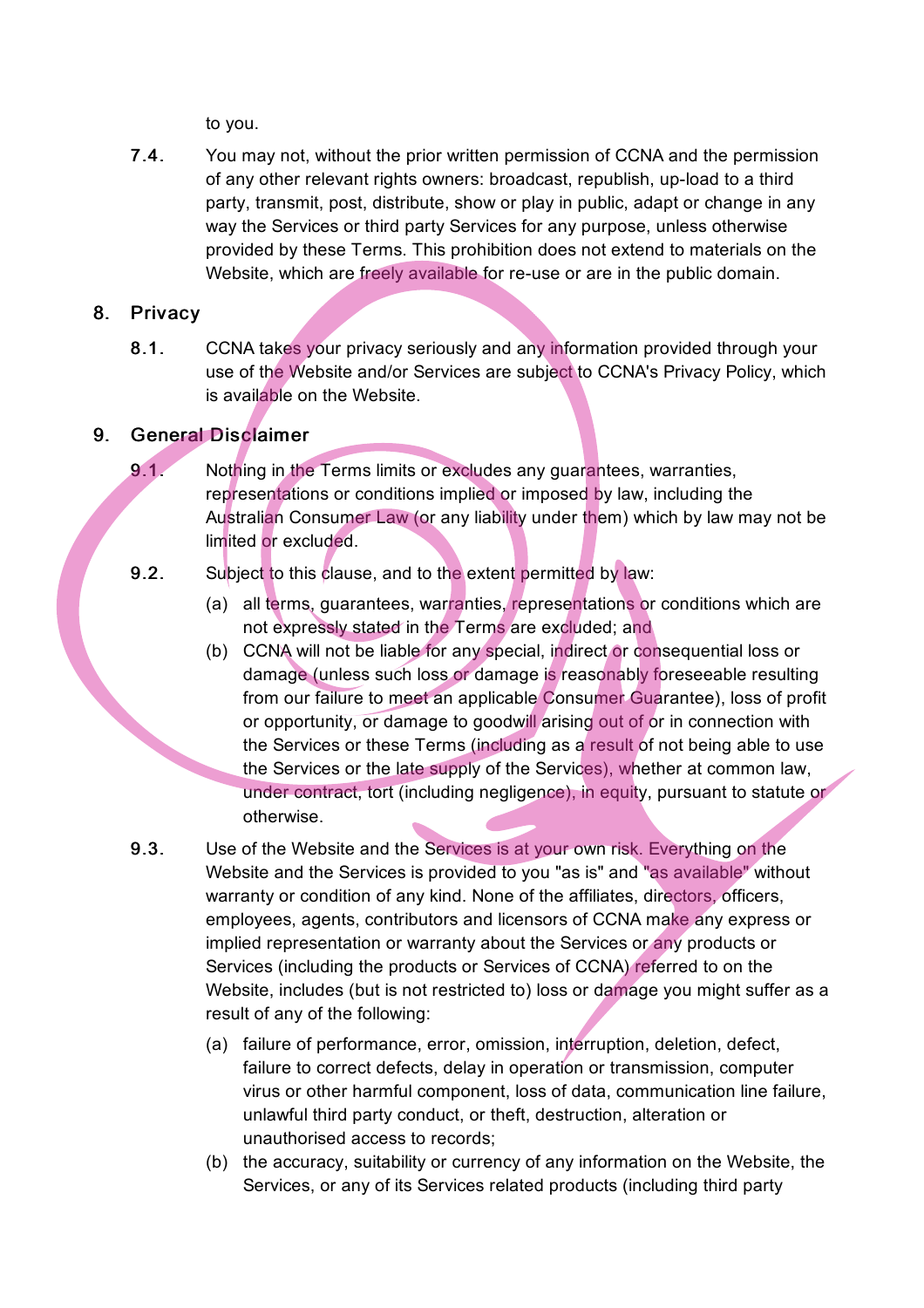to you.

7.4. You may not, without the prior written permission of CCNA and the permission of any other relevant rights owners: broadcast, republish, up-load to a third party, transmit, post, distribute, show or play in public, adapt or change in any way the Services or third party Services for any purpose, unless otherwise provided by these Terms. This prohibition does not extend to materials on the Website, which are freely available for re-use or are in the public domain.

#### 8. Privacy

8.1. CCNA takes your privacy seriously and any information provided through your use of the Website and/or Services are subject to CCNA's Privacy Policy, which is available on the Website.

# 9. General Disclaimer

9.1. Nothing in the Terms limits or excludes any quarantees, warranties, representations or conditions implied or imposed by law, including the Australian Consumer Law (or any liability under them) which by law may not be limited or excluded.

## 9.2. Subject to this clause, and to the extent permitted by law:

- (a) all terms, guarantees, warranties, representations or conditions which are not expressly stated in the Terms are excluded; and
- (b) CCNA will not be liable for any special, indirect or consequential loss or damage (unless such loss or damage is reasonably foreseeable resulting from our failure to meet an applicable Consumer Guarantee), loss of profit or opportunity, or damage to goodwill arising out of or in connection with the Services or these Terms (including as a result of not being able to use the Services or the late supply of the Services), whether at common law, under contract, tort (including negligence), in equity, pursuant to statute or otherwise.
- 9.3. Use of the Website and the Services is at your own risk. Everything on the Website and the Services is provided to you "as is" and "as available" without warranty or condition of any kind. None of the affiliates, directors, officers, employees, agents, contributors and licensors of CCNA make any express or implied representation or warranty about the Services or any products or Services (including the products or Services of CCNA) referred to on the Website, includes (but is not restricted to) loss or damage you might suffer as a result of any of the following:
	- (a) failure of performance, error, omission, interruption, deletion, defect, failure to correct defects, delay in operation or transmission, computer virus or other harmful component, loss of data, communication line failure, unlawful third party conduct, or theft, destruction, alteration or unauthorised access to records;
	- (b) the accuracy, suitability or currency of any information on the Website, the Services, or any of its Services related products (including third party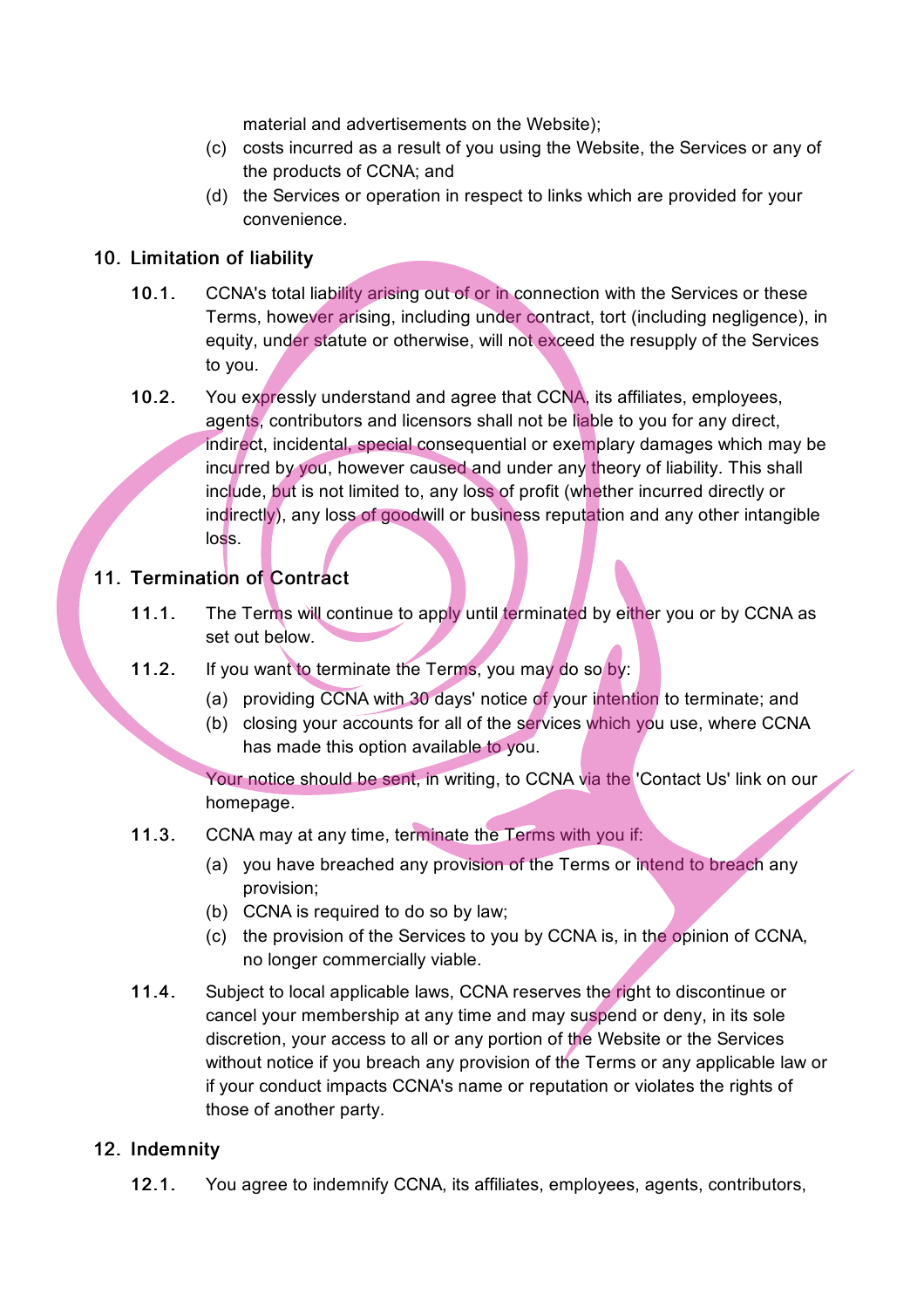material and advertisements on the Website);

- (c) costs incurred as a result of you using the Website, the Services or any of the products of CCNA; and
- (d) the Services or operation in respect to links which are provided for your convenience.

#### 10. Limitation of liability

- 10.1. CCNA's total liability arising out of or in connection with the Services or these Terms, however arising, including under contract, tort (including negligence), in equity, under statute or otherwise, will not exceed the resupply of the Services to you.
- 10.2. You expressly understand and agree that CCNA, its affiliates, employees, agents, contributors and licensors shall not be liable to you for any direct, indirect, incidental, special consequential or exemplary damages which may be incurred by you, however caused and under any theory of liability. This shall include, but is not limited to, any loss of profit (whether incurred directly or indirectly), any loss of goodwill or business reputation and any other intangible loss.

# 11. Termination of Contract

- 11.1. The Terms will continue to apply until terminated by either you or by CCNA as set out below.
- 11.2. If you want to terminate the Terms, you may do so by:
	- (a) providing CCNA with 30 days' notice of your intention to terminate; and
	- (b) closing your accounts for all of the services which you use, where CCNA has made this option available to you.

Your notice should be sent, in writing, to CCNA via the 'Contact Us' link on our homepage.

- 11.3. CCNA may at any time, terminate the Terms with you if:
	- (a) you have breached any provision of the Terms or intend to breach any provision;
	- (b) CCNA is required to do so by law:
	- (c) the provision of the Services to you by CCNA is, in the opinion of CCNA, no longer commercially viable.
- 11.4. Subject to local applicable laws, CCNA reserves the right to discontinue or cancel your membership at any time and may suspend or deny, in its sole discretion, your access to all or any portion of the Website or the Services without notice if you breach any provision of the Terms or any applicable law or if your conduct impacts CCNA's name or reputation or violates the rights of those of another party.

## 12. Indemnity

12.1. You agree to indemnify CCNA, its affiliates, employees, agents, contributors,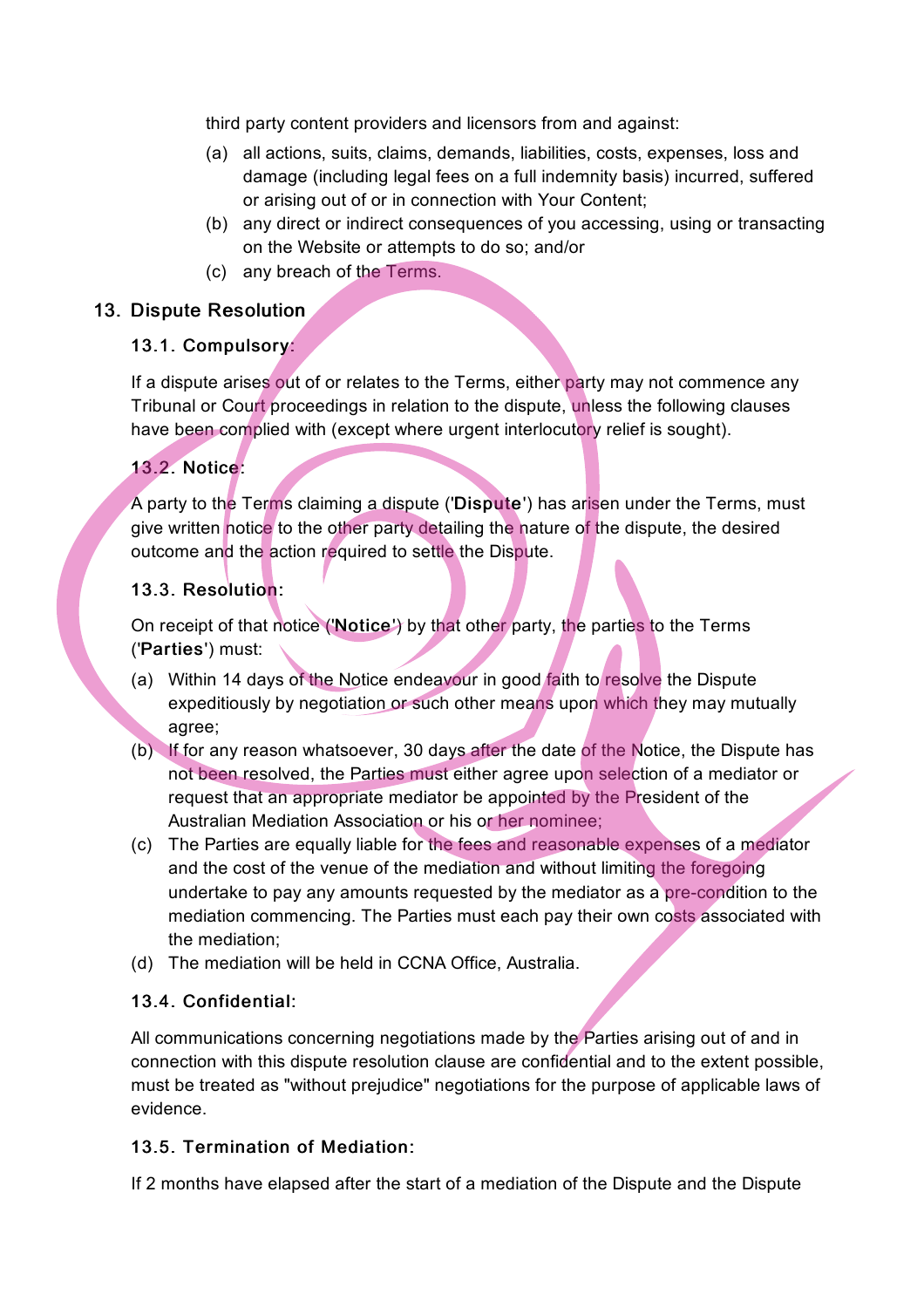third party content providers and licensors from and against:

- (a) all actions, suits, claims, demands, liabilities, costs, expenses, loss and damage (including legal fees on a full indemnity basis) incurred, suffered or arising out of or in connection with Your Content;
- (b) any direct or indirect consequences of you accessing, using or transacting on the Website or attempts to do so; and/or
- (c) any breach of the Terms.

## 13. Dispute Resolution

## 13.1. Compulsory:

If a dispute arises out of or relates to the Terms, either party may not commence any Tribunal or Court proceedings in relation to the dispute, unless the following clauses have been complied with (except where urgent interlocutory relief is sought).

# 13.2. Notice:

A party to the Terms claiming a dispute ('Dispute') has arisen under the Terms, must give written notice to the other party detailing the nature of the dispute, the desired outcome and the action required to settle the Dispute.

#### 13.3. Resolution:

On receipt of that notice ('Notice') by that other party, the parties to the Terms ('Parties') must:

- (a) Within 14 days of the Notice endeavour in good faith to resolve the Dispute expeditiously by negotiation or such other means upon which they may mutually agree;
- (b) If for any reason whatsoever, 30 days after the date of the Notice, the Dispute has not been resolved, the Parties must either agree upon selection of a mediator or request that an appropriate mediator be appointed by the President of the Australian Mediation Association or his or her nominee;
- (c) The Parties are equally liable for the fees and reasonable expenses of a mediator and the cost of the venue of the mediation and without limiting the foregoing undertake to pay any amounts requested by the mediator as a pre-condition to the mediation commencing. The Parties must each pay their own costs associated with the mediation;
- (d) The mediation will be held in CCNA Office, Australia.

## 13.4. Confidential:

All communications concerning negotiations made by the Parties arising out of and in connection with this dispute resolution clause are confidential and to the extent possible, must be treated as "without prejudice" negotiations for the purpose of applicable laws of evidence.

## 13.5. Termination of Mediation:

If 2 months have elapsed after the start of a mediation of the Dispute and the Dispute